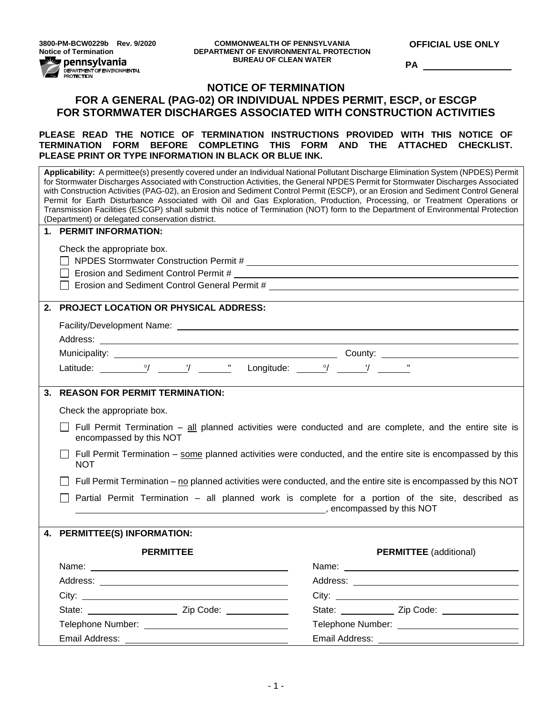**3800-PM-BCW0229b Rev. 9/2020 Notice of Termination**<br>**PERICASE DEPARTMENT DEPARTMENT OF STATISTICS** 

DEPARTMENT OF ENVIRONMENTAL<br>PROTECTION

**OFFICIAL USE ONLY**

**PA** 

# **NOTICE OF TERMINATION FOR A GENERAL (PAG-02) OR INDIVIDUAL NPDES PERMIT, ESCP, or ESCGP FOR STORMWATER DISCHARGES ASSOCIATED WITH CONSTRUCTION ACTIVITIES**

**PLEASE READ THE NOTICE OF TERMINATION INSTRUCTIONS PROVIDED WITH THIS NOTICE OF TERMINATION FORM BEFORE COMPLETING THIS FORM AND THE ATTACHED CHECKLIST. PLEASE PRINT OR TYPE INFORMATION IN BLACK OR BLUE INK.**

| Applicability: A permittee(s) presently covered under an Individual National Pollutant Discharge Elimination System (NPDES) Permit<br>for Stormwater Discharges Associated with Construction Activities, the General NPDES Permit for Stormwater Discharges Associated<br>with Construction Activities (PAG-02), an Erosion and Sediment Control Permit (ESCP), or an Erosion and Sediment Control General<br>Permit for Earth Disturbance Associated with Oil and Gas Exploration, Production, Processing, or Treatment Operations or<br>Transmission Facilities (ESCGP) shall submit this notice of Termination (NOT) form to the Department of Environmental Protection<br>(Department) or delegated conservation district. |                                                                                                                                                                                                                               |  |  |  |  |  |
|--------------------------------------------------------------------------------------------------------------------------------------------------------------------------------------------------------------------------------------------------------------------------------------------------------------------------------------------------------------------------------------------------------------------------------------------------------------------------------------------------------------------------------------------------------------------------------------------------------------------------------------------------------------------------------------------------------------------------------|-------------------------------------------------------------------------------------------------------------------------------------------------------------------------------------------------------------------------------|--|--|--|--|--|
| 1. PERMIT INFORMATION:                                                                                                                                                                                                                                                                                                                                                                                                                                                                                                                                                                                                                                                                                                         |                                                                                                                                                                                                                               |  |  |  |  |  |
| Check the appropriate box.<br>□ Erosion and Sediment Control Permit #                                                                                                                                                                                                                                                                                                                                                                                                                                                                                                                                                                                                                                                          |                                                                                                                                                                                                                               |  |  |  |  |  |
| 2. PROJECT LOCATION OR PHYSICAL ADDRESS:                                                                                                                                                                                                                                                                                                                                                                                                                                                                                                                                                                                                                                                                                       |                                                                                                                                                                                                                               |  |  |  |  |  |
|                                                                                                                                                                                                                                                                                                                                                                                                                                                                                                                                                                                                                                                                                                                                |                                                                                                                                                                                                                               |  |  |  |  |  |
|                                                                                                                                                                                                                                                                                                                                                                                                                                                                                                                                                                                                                                                                                                                                |                                                                                                                                                                                                                               |  |  |  |  |  |
|                                                                                                                                                                                                                                                                                                                                                                                                                                                                                                                                                                                                                                                                                                                                |                                                                                                                                                                                                                               |  |  |  |  |  |
|                                                                                                                                                                                                                                                                                                                                                                                                                                                                                                                                                                                                                                                                                                                                |                                                                                                                                                                                                                               |  |  |  |  |  |
| 3. REASON FOR PERMIT TERMINATION:                                                                                                                                                                                                                                                                                                                                                                                                                                                                                                                                                                                                                                                                                              |                                                                                                                                                                                                                               |  |  |  |  |  |
| Check the appropriate box.                                                                                                                                                                                                                                                                                                                                                                                                                                                                                                                                                                                                                                                                                                     |                                                                                                                                                                                                                               |  |  |  |  |  |
| Full Permit Termination - all planned activities were conducted and are complete, and the entire site is<br>encompassed by this NOT                                                                                                                                                                                                                                                                                                                                                                                                                                                                                                                                                                                            |                                                                                                                                                                                                                               |  |  |  |  |  |
| Full Permit Termination – some planned activities were conducted, and the entire site is encompassed by this<br><b>NOT</b>                                                                                                                                                                                                                                                                                                                                                                                                                                                                                                                                                                                                     |                                                                                                                                                                                                                               |  |  |  |  |  |
| Full Permit Termination – no planned activities were conducted, and the entire site is encompassed by this NOT                                                                                                                                                                                                                                                                                                                                                                                                                                                                                                                                                                                                                 |                                                                                                                                                                                                                               |  |  |  |  |  |
|                                                                                                                                                                                                                                                                                                                                                                                                                                                                                                                                                                                                                                                                                                                                | Partial Permit Termination – all planned work is complete for a portion of the site, described as<br>encompassed by this NOT                                                                                                  |  |  |  |  |  |
| 4. PERMITTEE(S) INFORMATION:                                                                                                                                                                                                                                                                                                                                                                                                                                                                                                                                                                                                                                                                                                   |                                                                                                                                                                                                                               |  |  |  |  |  |
|                                                                                                                                                                                                                                                                                                                                                                                                                                                                                                                                                                                                                                                                                                                                |                                                                                                                                                                                                                               |  |  |  |  |  |
| <b>PERMITTEE</b>                                                                                                                                                                                                                                                                                                                                                                                                                                                                                                                                                                                                                                                                                                               | <b>PERMITTEE</b> (additional)                                                                                                                                                                                                 |  |  |  |  |  |
| Name:                                                                                                                                                                                                                                                                                                                                                                                                                                                                                                                                                                                                                                                                                                                          | Name:                                                                                                                                                                                                                         |  |  |  |  |  |
|                                                                                                                                                                                                                                                                                                                                                                                                                                                                                                                                                                                                                                                                                                                                |                                                                                                                                                                                                                               |  |  |  |  |  |
|                                                                                                                                                                                                                                                                                                                                                                                                                                                                                                                                                                                                                                                                                                                                | City: City: City: City: City: City: City: City: City: City: City: City: City: City: City: City: City: City: City: City: City: City: City: City: City: City: City: City: City: City: City: City: City: City: City: City: City: |  |  |  |  |  |
|                                                                                                                                                                                                                                                                                                                                                                                                                                                                                                                                                                                                                                                                                                                                | State: <u>Zip Code:</u> Zip Code:                                                                                                                                                                                             |  |  |  |  |  |
|                                                                                                                                                                                                                                                                                                                                                                                                                                                                                                                                                                                                                                                                                                                                |                                                                                                                                                                                                                               |  |  |  |  |  |
|                                                                                                                                                                                                                                                                                                                                                                                                                                                                                                                                                                                                                                                                                                                                |                                                                                                                                                                                                                               |  |  |  |  |  |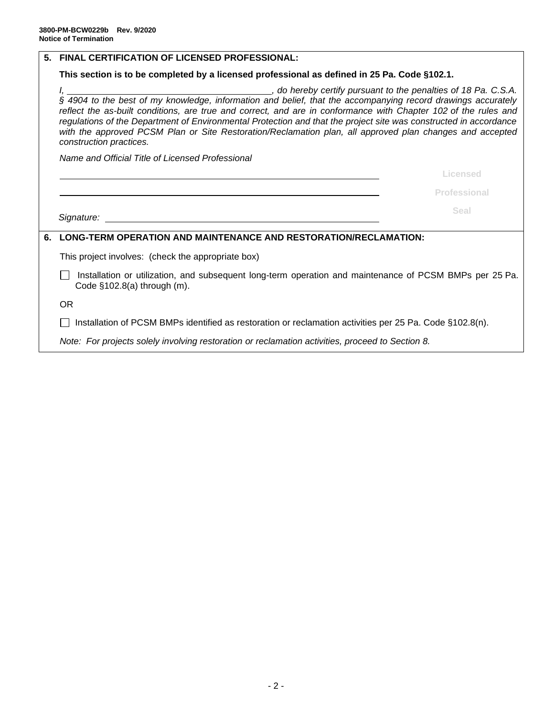| 5. | <b>FINAL CERTIFICATION OF LICENSED PROFESSIONAL:</b>                                                                                                                                                                                                                                                                                                                        |  |  |  |  |  |  |  |
|----|-----------------------------------------------------------------------------------------------------------------------------------------------------------------------------------------------------------------------------------------------------------------------------------------------------------------------------------------------------------------------------|--|--|--|--|--|--|--|
|    | This section is to be completed by a licensed professional as defined in 25 Pa. Code §102.1.                                                                                                                                                                                                                                                                                |  |  |  |  |  |  |  |
|    | reflect the as-built conditions, are true and correct, and are in conformance with Chapter 102 of the rules and<br>regulations of the Department of Environmental Protection and that the project site was constructed in accordance<br>with the approved PCSM Plan or Site Restoration/Reclamation plan, all approved plan changes and accepted<br>construction practices. |  |  |  |  |  |  |  |
|    | Name and Official Title of Licensed Professional                                                                                                                                                                                                                                                                                                                            |  |  |  |  |  |  |  |
|    | Licensed                                                                                                                                                                                                                                                                                                                                                                    |  |  |  |  |  |  |  |
|    | Professional                                                                                                                                                                                                                                                                                                                                                                |  |  |  |  |  |  |  |
|    | Seal<br>Signature: <u>with the contract of the contract of the contract of the contract of the contract of the contract of the contract of the contract of the contract of the contract of the contract of the contract of the contract </u>                                                                                                                                |  |  |  |  |  |  |  |
| 6. | LONG-TERM OPERATION AND MAINTENANCE AND RESTORATION/RECLAMATION:                                                                                                                                                                                                                                                                                                            |  |  |  |  |  |  |  |
|    | This project involves: (check the appropriate box)                                                                                                                                                                                                                                                                                                                          |  |  |  |  |  |  |  |
|    | Installation or utilization, and subsequent long-term operation and maintenance of PCSM BMPs per 25 Pa.<br>Code $§102.8(a)$ through $(m)$ .                                                                                                                                                                                                                                 |  |  |  |  |  |  |  |
|    | <b>OR</b>                                                                                                                                                                                                                                                                                                                                                                   |  |  |  |  |  |  |  |
|    | Installation of PCSM BMPs identified as restoration or reclamation activities per 25 Pa. Code §102.8(n).                                                                                                                                                                                                                                                                    |  |  |  |  |  |  |  |
|    | Note: For projects solely involving restoration or reclamation activities, proceed to Section 8.                                                                                                                                                                                                                                                                            |  |  |  |  |  |  |  |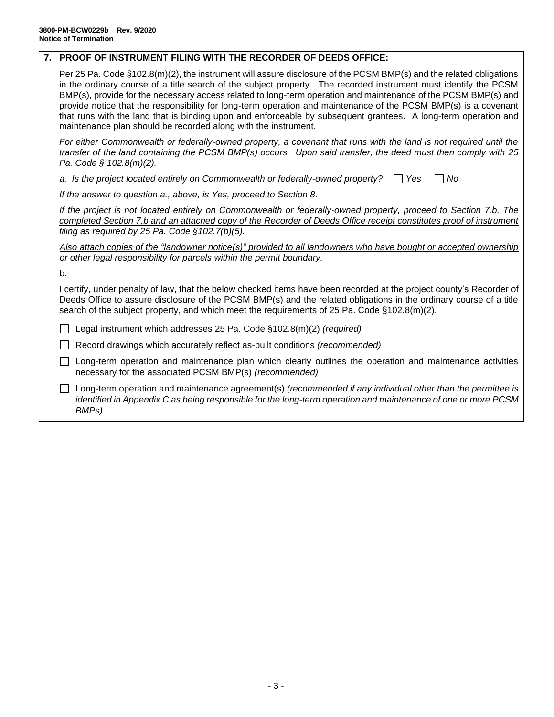# **7. PROOF OF INSTRUMENT FILING WITH THE RECORDER OF DEEDS OFFICE:**

Per 25 Pa. Code §102.8(m)(2), the instrument will assure disclosure of the PCSM BMP(s) and the related obligations in the ordinary course of a title search of the subject property. The recorded instrument must identify the PCSM BMP(s), provide for the necessary access related to long-term operation and maintenance of the PCSM BMP(s) and provide notice that the responsibility for long-term operation and maintenance of the PCSM BMP(s) is a covenant that runs with the land that is binding upon and enforceable by subsequent grantees. A long-term operation and maintenance plan should be recorded along with the instrument.

*For either Commonwealth or federally-owned property, a covenant that runs with the land is not required until the transfer of the land containing the PCSM BMP(s) occurs. Upon said transfer, the deed must then comply with 25 Pa. Code § 102.8(m)(2).*

*a.* Is the project located entirely on Commonwealth or federally-owned property?  $\Box$  Yes  $\Box$  No

*If the answer to question a., above, is Yes, proceed to Section 8.*

*If the project is not located entirely on Commonwealth or federally-owned property, proceed to Section 7.b. The completed Section 7.b and an attached copy of the Recorder of Deeds Office receipt constitutes proof of instrument filing as required by 25 Pa. Code §102.7(b)(5).*

*Also attach copies of the "landowner notice(s)" provided to all landowners who have bought or accepted ownership or other legal responsibility for parcels within the permit boundary.*

b.

I certify, under penalty of law, that the below checked items have been recorded at the project county's Recorder of Deeds Office to assure disclosure of the PCSM BMP(s) and the related obligations in the ordinary course of a title search of the subject property, and which meet the requirements of 25 Pa. Code §102.8(m)(2).

Legal instrument which addresses 25 Pa. Code §102.8(m)(2) *(required)*

Record drawings which accurately reflect as-built conditions *(recommended)*

□ Long-term operation and maintenance plan which clearly outlines the operation and maintenance activities necessary for the associated PCSM BMP(s) *(recommended)*

Long-term operation and maintenance agreement(s) *(recommended if any individual other than the permittee is identified in Appendix C as being responsible for the long-term operation and maintenance of one or more PCSM BMPs)*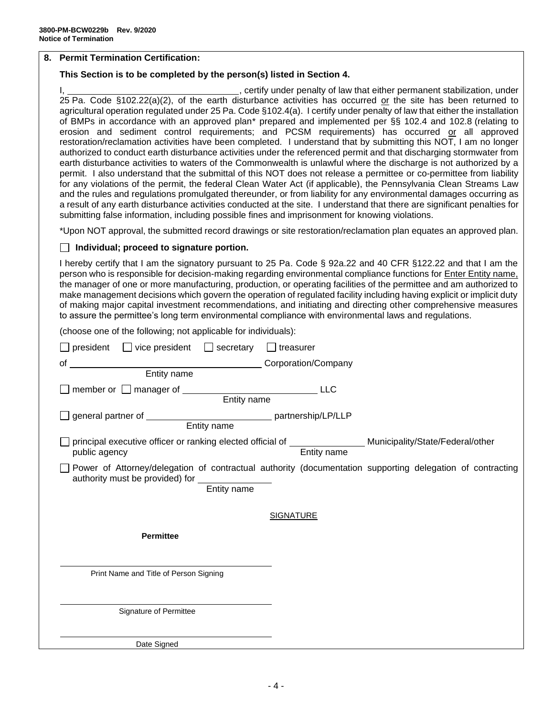### **8. Permit Termination Certification:**

## **This Section is to be completed by the person(s) listed in Section 4.**

I,  $\frac{1}{2}$  , certify under penalty of law that either permanent stabilization, under 25 Pa. Code §102.22(a)(2), of the earth disturbance activities has occurred or the site has been returned to agricultural operation regulated under 25 Pa. Code §102.4(a). I certify under penalty of law that either the installation of BMPs in accordance with an approved plan\* prepared and implemented per §§ 102.4 and 102.8 (relating to erosion and sediment control requirements; and PCSM requirements) has occurred or all approved restoration/reclamation activities have been completed. I understand that by submitting this NOT, I am no longer authorized to conduct earth disturbance activities under the referenced permit and that discharging stormwater from earth disturbance activities to waters of the Commonwealth is unlawful where the discharge is not authorized by a permit. I also understand that the submittal of this NOT does not release a permittee or co-permittee from liability for any violations of the permit, the federal Clean Water Act (if applicable), the Pennsylvania Clean Streams Law and the rules and regulations promulgated thereunder, or from liability for any environmental damages occurring as a result of any earth disturbance activities conducted at the site. I understand that there are significant penalties for submitting false information, including possible fines and imprisonment for knowing violations.

\*Upon NOT approval, the submitted record drawings or site restoration/reclamation plan equates an approved plan.

### **Individual; proceed to signature portion.**

I hereby certify that I am the signatory pursuant to 25 Pa. Code § 92a.22 and 40 CFR §122.22 and that I am the person who is responsible for decision-making regarding environmental compliance functions for **Enter Entity name**, the manager of one or more manufacturing, production, or operating facilities of the permittee and am authorized to make management decisions which govern the operation of regulated facility including having explicit or implicit duty of making major capital investment recommendations, and initiating and directing other comprehensive measures to assure the permittee's long term environmental compliance with environmental laws and regulations.

(choose one of the following; not applicable for individuals):

| $president$ $\Box$ vice president $\Box$ secretary<br>  treasurer                                                                                                            |
|------------------------------------------------------------------------------------------------------------------------------------------------------------------------------|
| Entity name<br>Entity name<br>Entity name<br>of                                                                                                                              |
|                                                                                                                                                                              |
| member or manager of <u>Figure 2008</u> Chain and Entity name<br><b>LLC</b>                                                                                                  |
| general partner of _________________________________ partnership/LP/LLP<br>Entity name                                                                                       |
| principal executive officer or ranking elected official of _________________ Municipality/State/Federal/other<br>Entity name<br>public agency                                |
| Power of Attorney/delegation of contractual authority (documentation supporting delegation of contracting<br>authority must be provided) for ________________<br>Entity name |
| <b>SIGNATURE</b>                                                                                                                                                             |
| <b>Permittee</b>                                                                                                                                                             |
|                                                                                                                                                                              |
| Print Name and Title of Person Signing                                                                                                                                       |
|                                                                                                                                                                              |
| Signature of Permittee                                                                                                                                                       |
| Date Signed                                                                                                                                                                  |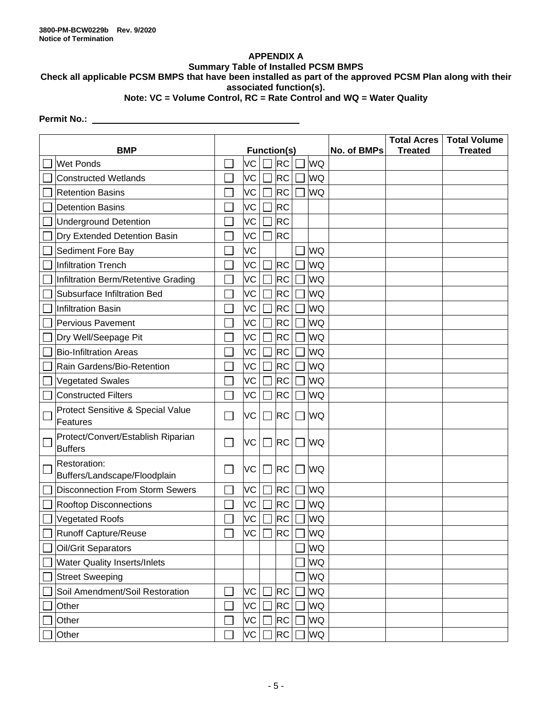# **APPENDIX A**

# **Summary Table of Installed PCSM BMPS**

**Check all applicable PCSM BMPS that have been installed as part of the approved PCSM Plan along with their associated function(s).**

# **Note: VC = Volume Control, RC = Rate Control and WQ = Water Quality**

# **Permit No.:**

| <b>BMP</b>                                           | <b>Function(s)</b> |    |                | No. of BMPs | <b>Total Acres</b><br><b>Treated</b> | <b>Total Volume</b><br><b>Treated</b> |  |  |
|------------------------------------------------------|--------------------|----|----------------|-------------|--------------------------------------|---------------------------------------|--|--|
| <b>Wet Ponds</b>                                     |                    | VC |                | <b>RC</b>   | <b>WQ</b>                            |                                       |  |  |
| <b>Constructed Wetlands</b>                          |                    | VC |                | <b>RC</b>   | WQ                                   |                                       |  |  |
| <b>Retention Basins</b>                              |                    | VC |                | <b>RC</b>   | WQ                                   |                                       |  |  |
| <b>Detention Basins</b>                              |                    | VC |                | <b>RC</b>   |                                      |                                       |  |  |
| <b>Underground Detention</b>                         |                    | VC |                | <b>RC</b>   |                                      |                                       |  |  |
| Dry Extended Detention Basin                         |                    | VC |                | <b>RC</b>   |                                      |                                       |  |  |
| Sediment Fore Bay                                    |                    | VC |                |             | WQ                                   |                                       |  |  |
| <b>Infiltration Trench</b>                           |                    | VC |                | <b>RC</b>   | WQ                                   |                                       |  |  |
| Infiltration Berm/Retentive Grading                  |                    | VC |                | <b>RC</b>   | WQ                                   |                                       |  |  |
| Subsurface Infiltration Bed                          |                    | VC |                | <b>RC</b>   | WQ                                   |                                       |  |  |
| <b>Infiltration Basin</b>                            |                    | VC |                | <b>RC</b>   | WQ                                   |                                       |  |  |
| <b>Pervious Pavement</b>                             |                    | VC |                | <b>RC</b>   | WQ                                   |                                       |  |  |
| Dry Well/Seepage Pit                                 |                    | VC |                | <b>RC</b>   | WQ                                   |                                       |  |  |
| <b>Bio-Infiltration Areas</b>                        |                    | VC |                | <b>RC</b>   | WQ                                   |                                       |  |  |
| Rain Gardens/Bio-Retention                           |                    | VC |                | <b>RC</b>   | WQ                                   |                                       |  |  |
| <b>Vegetated Swales</b>                              |                    | VC |                | <b>RC</b>   | WQ                                   |                                       |  |  |
| <b>Constructed Filters</b>                           |                    | VC |                | <b>RC</b>   | WQ                                   |                                       |  |  |
| Protect Sensitive & Special Value<br>Features        | ×                  | VC |                | <b>RC</b>   | <b>WQ</b>                            |                                       |  |  |
| Protect/Convert/Establish Riparian<br><b>Buffers</b> | ×                  | VC | $\mathbb{R}^n$ | <b>RC</b>   | <b>WQ</b>                            |                                       |  |  |
| Restoration:<br>Buffers/Landscape/Floodplain         |                    | VC |                | <b>RC</b>   | <b>WQ</b>                            |                                       |  |  |
| <b>Disconnection From Storm Sewers</b>               |                    | VC |                | <b>RC</b>   | WQ                                   |                                       |  |  |
| <b>Rooftop Disconnections</b>                        |                    | VC |                | <b>RC</b>   | WQ                                   |                                       |  |  |
| <b>Vegetated Roofs</b>                               |                    | VC |                | <b>RC</b>   | WQ                                   |                                       |  |  |
| Runoff Capture/Reuse                                 |                    | VC |                | <b>RC</b>   | <b>WQ</b>                            |                                       |  |  |
| Oil/Grit Separators                                  |                    |    |                |             | WQ                                   |                                       |  |  |
| <b>Water Quality Inserts/Inlets</b>                  |                    |    |                |             | WQ                                   |                                       |  |  |
| <b>Street Sweeping</b>                               |                    |    |                |             | WQ                                   |                                       |  |  |
| Soil Amendment/Soil Restoration                      |                    | VC |                | <b>RC</b>   | WQ                                   |                                       |  |  |
| Other                                                |                    | VC |                | <b>RC</b>   | WQ                                   |                                       |  |  |
| Other                                                |                    | VC |                | <b>RC</b>   | WQ                                   |                                       |  |  |
| Other                                                |                    | VC |                | <b>RC</b>   | WQ                                   |                                       |  |  |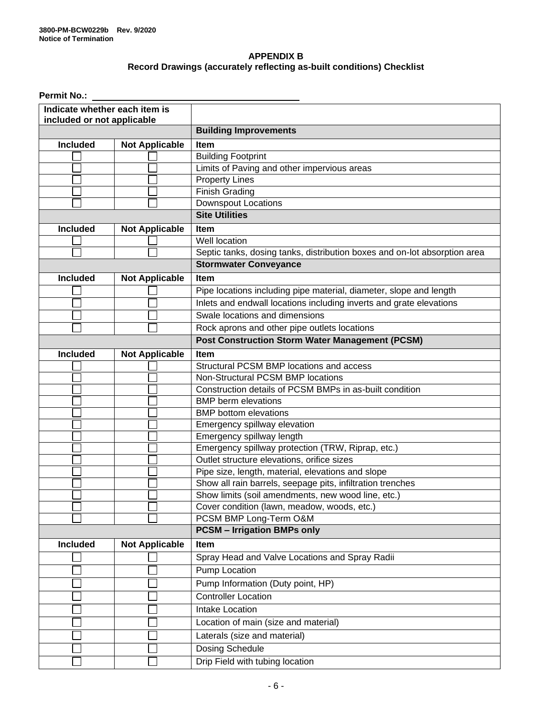# **APPENDIX B Record Drawings (accurately reflecting as-built conditions) Checklist**

| <b>Permit No.:</b>                                          |                       |                                                                           |  |  |  |  |
|-------------------------------------------------------------|-----------------------|---------------------------------------------------------------------------|--|--|--|--|
| Indicate whether each item is<br>included or not applicable |                       |                                                                           |  |  |  |  |
|                                                             |                       | <b>Building Improvements</b>                                              |  |  |  |  |
| <b>Included</b><br><b>Not Applicable</b>                    |                       | Item                                                                      |  |  |  |  |
|                                                             |                       | <b>Building Footprint</b>                                                 |  |  |  |  |
|                                                             |                       | Limits of Paving and other impervious areas                               |  |  |  |  |
|                                                             |                       | Property Lines                                                            |  |  |  |  |
|                                                             |                       | <b>Finish Grading</b>                                                     |  |  |  |  |
|                                                             |                       | <b>Downspout Locations</b>                                                |  |  |  |  |
|                                                             |                       | <b>Site Utilities</b>                                                     |  |  |  |  |
| <b>Included</b>                                             | <b>Not Applicable</b> | Item                                                                      |  |  |  |  |
|                                                             |                       | Well location                                                             |  |  |  |  |
|                                                             |                       | Septic tanks, dosing tanks, distribution boxes and on-lot absorption area |  |  |  |  |
|                                                             |                       | <b>Stormwater Conveyance</b>                                              |  |  |  |  |
| <b>Included</b>                                             | <b>Not Applicable</b> | Item                                                                      |  |  |  |  |
|                                                             |                       | Pipe locations including pipe material, diameter, slope and length        |  |  |  |  |
|                                                             |                       | Inlets and endwall locations including inverts and grate elevations       |  |  |  |  |
|                                                             |                       | Swale locations and dimensions                                            |  |  |  |  |
|                                                             |                       | Rock aprons and other pipe outlets locations                              |  |  |  |  |
|                                                             |                       | <b>Post Construction Storm Water Management (PCSM)</b>                    |  |  |  |  |
| <b>Included</b>                                             | <b>Not Applicable</b> | Item                                                                      |  |  |  |  |
|                                                             |                       | Structural PCSM BMP locations and access                                  |  |  |  |  |
|                                                             |                       | Non-Structural PCSM BMP locations                                         |  |  |  |  |
|                                                             |                       | Construction details of PCSM BMPs in as-built condition                   |  |  |  |  |
|                                                             |                       | <b>BMP</b> berm elevations                                                |  |  |  |  |
|                                                             |                       | <b>BMP</b> bottom elevations                                              |  |  |  |  |
|                                                             |                       | Emergency spillway elevation                                              |  |  |  |  |
|                                                             |                       | Emergency spillway length                                                 |  |  |  |  |
|                                                             |                       | Emergency spillway protection (TRW, Riprap, etc.)                         |  |  |  |  |
|                                                             |                       | Outlet structure elevations, orifice sizes                                |  |  |  |  |
|                                                             |                       | Pipe size, length, material, elevations and slope                         |  |  |  |  |
|                                                             |                       | Show all rain barrels, seepage pits, infiltration trenches                |  |  |  |  |
|                                                             |                       | Show limits (soil amendments, new wood line, etc.)                        |  |  |  |  |
|                                                             |                       | Cover condition (lawn, meadow, woods, etc.)                               |  |  |  |  |
|                                                             |                       | PCSM BMP Long-Term O&M                                                    |  |  |  |  |
|                                                             |                       | <b>PCSM - Irrigation BMPs only</b>                                        |  |  |  |  |
| <b>Included</b>                                             | <b>Not Applicable</b> | Item                                                                      |  |  |  |  |
|                                                             |                       | Spray Head and Valve Locations and Spray Radii                            |  |  |  |  |
|                                                             |                       | Pump Location                                                             |  |  |  |  |
|                                                             |                       | Pump Information (Duty point, HP)                                         |  |  |  |  |
|                                                             |                       | <b>Controller Location</b>                                                |  |  |  |  |
|                                                             |                       | Intake Location                                                           |  |  |  |  |
|                                                             |                       | Location of main (size and material)                                      |  |  |  |  |
|                                                             |                       | Laterals (size and material)                                              |  |  |  |  |
|                                                             |                       | Dosing Schedule                                                           |  |  |  |  |
|                                                             |                       | Drip Field with tubing location                                           |  |  |  |  |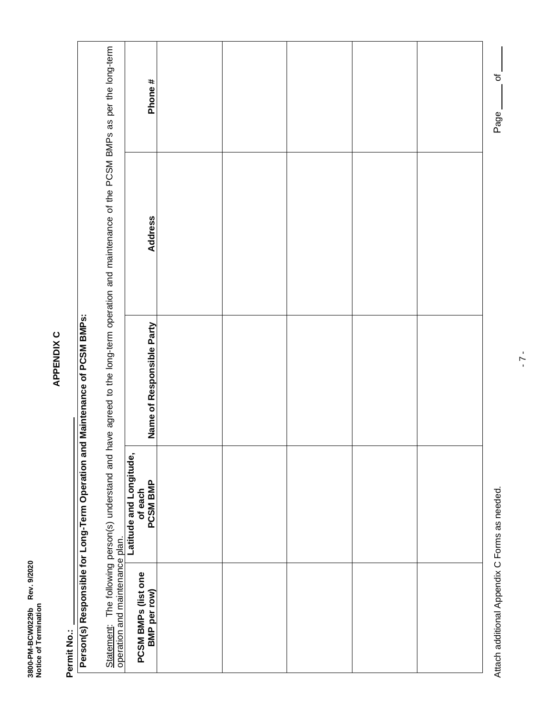| š<br>Rev                     |         |
|------------------------------|---------|
| Ĺ<br>č<br>ì<br>ĵ<br>ים<br>קי | ن<br>با |

APPENDIX C **APPENDIX C**

**Permit No.:**

# Permit No.:<br>| Person(s) Responsible for Long-Term Operation and Maintenance of PCSM BMPs:<br>| **Person(s) Responsible for Long-Term Operation and Maintenance of PCSM BMPs:**

Statement: The following person(s) understand and have agreed to the long-term operation and maintenance of the PCSM BMPs as per the long-term  $\ddot{\cdot}$  $\overline{a}$  $\ddagger$ f the DCSM BMBs  $\frac{1}{2}$ ŀ,  $\frac{1}{2}$  $\ddot{\cdot}$ ato the long d hoodcatand cad operation and maintenance plan. The followin  $\mathsf{C}$ 

|                                                                                                                                                                                                                               | Phone #                                        |  |  |  |
|-------------------------------------------------------------------------------------------------------------------------------------------------------------------------------------------------------------------------------|------------------------------------------------|--|--|--|
| Statement: The Product on a construction of the average areas of the controller of the product of the product of the product of the Product of the Product of the Product of the Product of the Product of the Product of the | <b>Address</b>                                 |  |  |  |
|                                                                                                                                                                                                                               | Name of Responsible Party                      |  |  |  |
|                                                                                                                                                                                                                               | Latitude and Longitude,<br>of each<br>PCSM BMP |  |  |  |
| operation and maintenance plan.                                                                                                                                                                                               | <b>PCSM BMPs (list one</b><br>BMP per row)     |  |  |  |

Attach additional Appendix C Forms as needed. **Page 1986** as needed. Attach additional Appendix C Forms as needed.

 $-\frac{1}{\sigma}$ Page \_\_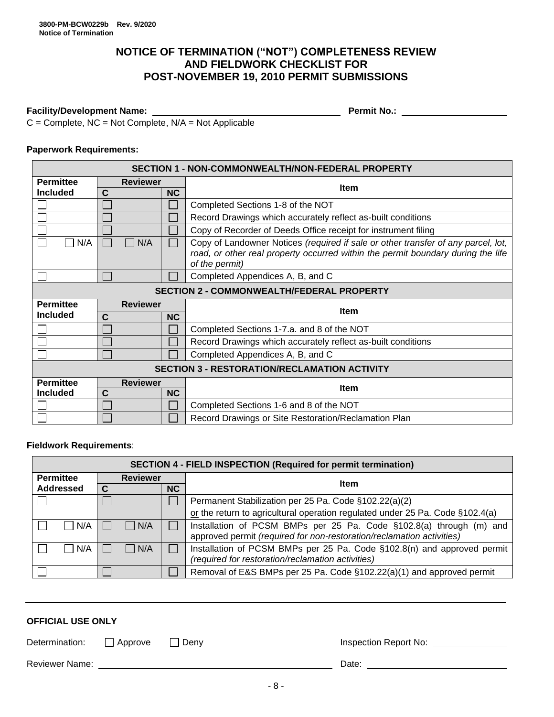# **NOTICE OF TERMINATION ("NOT") COMPLETENESS REVIEW AND FIELDWORK CHECKLIST FOR POST-NOVEMBER 19, 2010 PERMIT SUBMISSIONS**

# **Facility/Development Name: Permit No.:**

 $C =$  Complete, NC = Not Complete,  $N/A =$  Not Applicable

# **Paperwork Requirements:**

| <b>SECTION 1 - NON-COMMONWEALTH/NON-FEDERAL PROPERTY</b> |                                                  |           |                                                                                                                                                                                         |  |  |  |  |
|----------------------------------------------------------|--------------------------------------------------|-----------|-----------------------------------------------------------------------------------------------------------------------------------------------------------------------------------------|--|--|--|--|
| <b>Permittee</b>                                         | <b>Reviewer</b>                                  |           | <b>Item</b>                                                                                                                                                                             |  |  |  |  |
| <b>Included</b>                                          | C                                                | <b>NC</b> |                                                                                                                                                                                         |  |  |  |  |
|                                                          |                                                  |           | Completed Sections 1-8 of the NOT                                                                                                                                                       |  |  |  |  |
|                                                          |                                                  |           | Record Drawings which accurately reflect as-built conditions                                                                                                                            |  |  |  |  |
|                                                          |                                                  |           | Copy of Recorder of Deeds Office receipt for instrument filing                                                                                                                          |  |  |  |  |
| N/A<br>N/A                                               |                                                  |           | Copy of Landowner Notices (required if sale or other transfer of any parcel, lot,<br>road, or other real property occurred within the permit boundary during the life<br>of the permit) |  |  |  |  |
|                                                          |                                                  |           | Completed Appendices A, B, and C                                                                                                                                                        |  |  |  |  |
|                                                          | <b>SECTION 2 - COMMONWEALTH/FEDERAL PROPERTY</b> |           |                                                                                                                                                                                         |  |  |  |  |
| <b>Permittee</b><br><b>Reviewer</b>                      |                                                  |           |                                                                                                                                                                                         |  |  |  |  |
|                                                          |                                                  |           |                                                                                                                                                                                         |  |  |  |  |
| <b>Included</b>                                          | $\mathbf c$                                      | <b>NC</b> | <b>Item</b>                                                                                                                                                                             |  |  |  |  |
|                                                          |                                                  |           | Completed Sections 1-7.a. and 8 of the NOT                                                                                                                                              |  |  |  |  |
|                                                          |                                                  |           | Record Drawings which accurately reflect as-built conditions                                                                                                                            |  |  |  |  |
|                                                          |                                                  |           | Completed Appendices A, B, and C                                                                                                                                                        |  |  |  |  |
|                                                          |                                                  |           | <b>SECTION 3 - RESTORATION/RECLAMATION ACTIVITY</b>                                                                                                                                     |  |  |  |  |
| <b>Permittee</b>                                         | <b>Reviewer</b>                                  |           |                                                                                                                                                                                         |  |  |  |  |
| <b>Included</b>                                          | C                                                | <b>NC</b> | <b>Item</b>                                                                                                                                                                             |  |  |  |  |
|                                                          |                                                  |           | Completed Sections 1-6 and 8 of the NOT                                                                                                                                                 |  |  |  |  |

### **Fieldwork Requirements**:

|                                                                   | <b>SECTION 4 - FIELD INSPECTION (Required for permit termination)</b> |                                                                         |                                                                                                                                              |  |  |  |  |  |
|-------------------------------------------------------------------|-----------------------------------------------------------------------|-------------------------------------------------------------------------|----------------------------------------------------------------------------------------------------------------------------------------------|--|--|--|--|--|
| <b>Permittee</b>                                                  | <b>Reviewer</b>                                                       |                                                                         | <b>Item</b>                                                                                                                                  |  |  |  |  |  |
| <b>Addressed</b>                                                  | NC                                                                    |                                                                         |                                                                                                                                              |  |  |  |  |  |
|                                                                   |                                                                       |                                                                         | Permanent Stabilization per 25 Pa. Code §102.22(a)(2)                                                                                        |  |  |  |  |  |
|                                                                   |                                                                       |                                                                         | or the return to agricultural operation regulated under 25 Pa. Code §102.4(a)                                                                |  |  |  |  |  |
| $\vert$ $\vert$ N/A<br>  N/A                                      |                                                                       |                                                                         | Installation of PCSM BMPs per 25 Pa. Code §102.8(a) through (m) and<br>approved permit (required for non-restoration/reclamation activities) |  |  |  |  |  |
| N/A<br>  N/A<br>(required for restoration/reclamation activities) |                                                                       | Installation of PCSM BMPs per 25 Pa. Code §102.8(n) and approved permit |                                                                                                                                              |  |  |  |  |  |
|                                                                   |                                                                       |                                                                         | Removal of E&S BMPs per 25 Pa. Code §102.22(a)(1) and approved permit                                                                        |  |  |  |  |  |

| <b>OFFICIAL USE ONLY</b> |  |        |                       |  |  |  |  |
|--------------------------|--|--------|-----------------------|--|--|--|--|
| Determination: Approve   |  | ∐ Deny | Inspection Report No: |  |  |  |  |
| <b>Reviewer Name:</b>    |  |        | Date:                 |  |  |  |  |